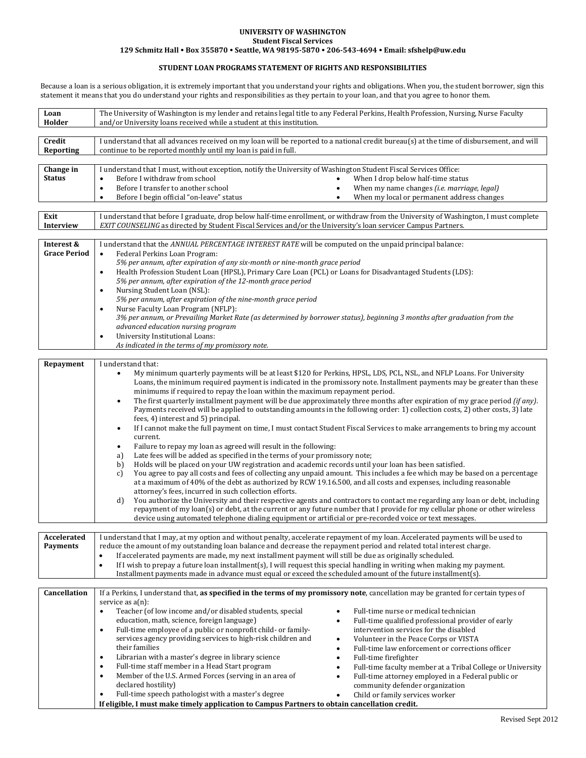## **UNIVERSITY OF WASHINGTON Student Fiscal Services**

**129 Schmitz Hall Box 355870 Seattle, WA 98195‐5870 206‐543‐4694 Email: sfshelp@uw.edu**

## **STUDENT LOAN PROGRAMS STATEMENT OF RIGHTS AND RESPONSIBILITIES**

Because a loan is a serious obligation, it is extremely important that you understand your rights and obligations. When you, the student borrower, sign this statement it means that you do understand your rights and responsibilities as they pertain to your loan, and that you agree to honor them.

| Loan<br>Holder                    | The University of Washington is my lender and retains legal title to any Federal Perkins, Health Profession, Nursing, Nurse Faculty<br>and/or University loans received while a student at this institution.                                                                                                                                                                                                                                                                                                                                                                                                                                                                                                                                                                                                                                                                                                                                                                                                                                                                                                                                                                                                                                                                                                                                                                                                                                                                                                                                                                                                                                                                                                                                                                                                                          |  |  |  |  |
|-----------------------------------|---------------------------------------------------------------------------------------------------------------------------------------------------------------------------------------------------------------------------------------------------------------------------------------------------------------------------------------------------------------------------------------------------------------------------------------------------------------------------------------------------------------------------------------------------------------------------------------------------------------------------------------------------------------------------------------------------------------------------------------------------------------------------------------------------------------------------------------------------------------------------------------------------------------------------------------------------------------------------------------------------------------------------------------------------------------------------------------------------------------------------------------------------------------------------------------------------------------------------------------------------------------------------------------------------------------------------------------------------------------------------------------------------------------------------------------------------------------------------------------------------------------------------------------------------------------------------------------------------------------------------------------------------------------------------------------------------------------------------------------------------------------------------------------------------------------------------------------|--|--|--|--|
| Credit<br>Reporting               | I understand that all advances received on my loan will be reported to a national credit bureau(s) at the time of disbursement, and will<br>continue to be reported monthly until my loan is paid in full.                                                                                                                                                                                                                                                                                                                                                                                                                                                                                                                                                                                                                                                                                                                                                                                                                                                                                                                                                                                                                                                                                                                                                                                                                                                                                                                                                                                                                                                                                                                                                                                                                            |  |  |  |  |
| Change in<br><b>Status</b>        | I understand that I must, without exception, notify the University of Washington Student Fiscal Services Office:<br>Before I withdraw from school<br>When I drop below half-time status<br>$\bullet$<br>Before I transfer to another school<br>When my name changes <i>(i.e. marriage, legal)</i><br>$\bullet$<br>$\bullet$<br>Before I begin official "on-leave" status<br>When my local or permanent address changes<br>$\bullet$                                                                                                                                                                                                                                                                                                                                                                                                                                                                                                                                                                                                                                                                                                                                                                                                                                                                                                                                                                                                                                                                                                                                                                                                                                                                                                                                                                                                   |  |  |  |  |
| Exit<br>Interview                 | I understand that before I graduate, drop below half-time enrollment, or withdraw from the University of Washington, I must complete<br>EXIT COUNSELING as directed by Student Fiscal Services and/or the University's loan servicer Campus Partners.                                                                                                                                                                                                                                                                                                                                                                                                                                                                                                                                                                                                                                                                                                                                                                                                                                                                                                                                                                                                                                                                                                                                                                                                                                                                                                                                                                                                                                                                                                                                                                                 |  |  |  |  |
| Interest &<br><b>Grace Period</b> | I understand that the ANNUAL PERCENTAGE INTEREST RATE will be computed on the unpaid principal balance:<br>Federal Perkins Loan Program:<br>$\bullet$<br>5% per annum, after expiration of any six-month or nine-month grace period<br>Health Profession Student Loan (HPSL), Primary Care Loan (PCL) or Loans for Disadvantaged Students (LDS):<br>$\bullet$<br>5% per annum, after expiration of the 12-month grace period<br>Nursing Student Loan (NSL):<br>$\bullet$<br>5% per annum, after expiration of the nine-month grace period<br>Nurse Faculty Loan Program (NFLP):<br>$\bullet$<br>3% per annum, or Prevailing Market Rate (as determined by borrower status), beginning 3 months after graduation from the<br>advanced education nursing program<br>University Institutional Loans:<br>$\bullet$<br>As indicated in the terms of my promissory note.                                                                                                                                                                                                                                                                                                                                                                                                                                                                                                                                                                                                                                                                                                                                                                                                                                                                                                                                                                    |  |  |  |  |
|                                   |                                                                                                                                                                                                                                                                                                                                                                                                                                                                                                                                                                                                                                                                                                                                                                                                                                                                                                                                                                                                                                                                                                                                                                                                                                                                                                                                                                                                                                                                                                                                                                                                                                                                                                                                                                                                                                       |  |  |  |  |
| Repayment                         | I understand that:<br>My minimum quarterly payments will be at least \$120 for Perkins, HPSL, LDS, PCL, NSL, and NFLP Loans. For University<br>$\bullet$<br>Loans, the minimum required payment is indicated in the promissory note. Installment payments may be greater than these<br>minimums if required to repay the loan within the maximum repayment period.<br>The first quarterly installment payment will be due approximately three months after expiration of my grace period (if any).<br>$\bullet$<br>Payments received will be applied to outstanding amounts in the following order: 1) collection costs, 2) other costs, 3) late<br>fees, 4) interest and 5) principal.<br>If I cannot make the full payment on time, I must contact Student Fiscal Services to make arrangements to bring my account<br>$\bullet$<br>current.<br>Failure to repay my loan as agreed will result in the following:<br>$\bullet$<br>Late fees will be added as specified in the terms of your promissory note;<br>a)<br>Holds will be placed on your UW registration and academic records until your loan has been satisfied.<br>b)<br>You agree to pay all costs and fees of collecting any unpaid amount. This includes a fee which may be based on a percentage<br>c)<br>at a maximum of 40% of the debt as authorized by RCW 19.16.500, and all costs and expenses, including reasonable<br>attorney's fees, incurred in such collection efforts.<br>You authorize the University and their respective agents and contractors to contact me regarding any loan or debt, including<br>d)<br>repayment of my loan(s) or debt, at the current or any future number that I provide for my cellular phone or other wireless<br>device using automated telephone dialing equipment or artificial or pre-recorded voice or text messages. |  |  |  |  |
| Accelerated<br><b>Payments</b>    | I understand that I may, at my option and without penalty, accelerate repayment of my loan. Accelerated payments will be used to<br>reduce the amount of my outstanding loan balance and decrease the repayment period and related total interest charge.<br>If accelerated payments are made, my next installment payment will still be due as originally scheduled.<br>$\bullet$<br>If I wish to prepay a future loan installment(s), I will request this special handling in writing when making my payment.<br>$\bullet$<br>Installment payments made in advance must equal or exceed the scheduled amount of the future installment(s).                                                                                                                                                                                                                                                                                                                                                                                                                                                                                                                                                                                                                                                                                                                                                                                                                                                                                                                                                                                                                                                                                                                                                                                          |  |  |  |  |
| Cancellation                      | If a Perkins, I understand that, as specified in the terms of my promissory note, cancellation may be granted for certain types of                                                                                                                                                                                                                                                                                                                                                                                                                                                                                                                                                                                                                                                                                                                                                                                                                                                                                                                                                                                                                                                                                                                                                                                                                                                                                                                                                                                                                                                                                                                                                                                                                                                                                                    |  |  |  |  |
|                                   | service as $a(n)$ :<br>Teacher (of low income and/or disabled students, special<br>Full-time nurse or medical technician<br>$\bullet$<br>$\bullet$<br>education, math, science, foreign language)<br>Full-time qualified professional provider of early<br>$\bullet$<br>Full-time employee of a public or nonprofit child- or family-<br>intervention services for the disabled<br>$\bullet$<br>services agency providing services to high-risk children and<br>Volunteer in the Peace Corps or VISTA<br>٠<br>their families<br>Full-time law enforcement or corrections officer<br>$\bullet$<br>Librarian with a master's degree in library science<br>Full-time firefighter<br>$\bullet$<br>$\bullet$<br>Full-time staff member in a Head Start program<br>Full-time faculty member at a Tribal College or University<br>$\bullet$<br>$\bullet$<br>Member of the U.S. Armed Forces (serving in an area of<br>Full-time attorney employed in a Federal public or<br>$\bullet$<br>$\bullet$<br>declared hostility)<br>community defender organization<br>Full-time speech pathologist with a master's degree<br>$\bullet$<br>Child or family services worker<br>٠<br>If eligible, I must make timely application to Campus Partners to obtain cancellation credit.                                                                                                                                                                                                                                                                                                                                                                                                                                                                                                                                                                    |  |  |  |  |